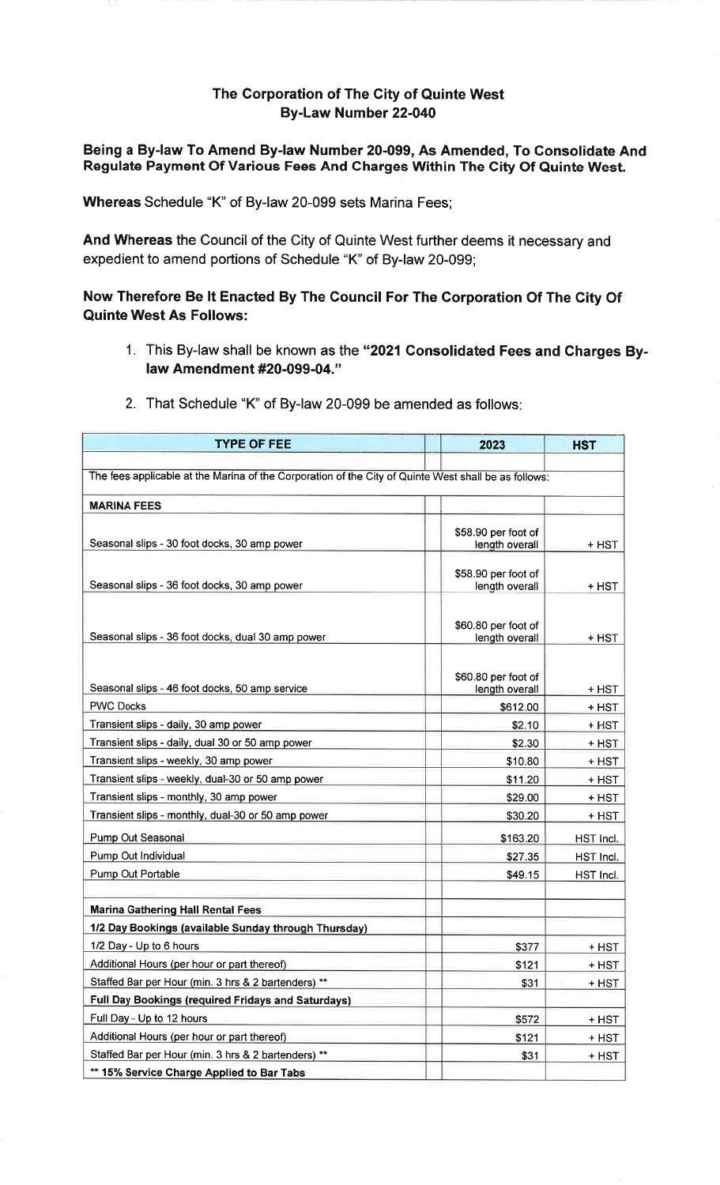## The Gorporation of The City of Quinte WestBy-Law Number 22-040

## Being a By-law To Amend By-law Number 20-099, As Amended, To Gonsolidate AndRegulate Payment Of Various Fees And Gharges Within The Gity Of Quinte West.

Whereas Schedule "K" of By-law 20-099 sets Marina Fees;

And Whereas the Council of the City of Quinte West further deems it necessary andexpedient to amend portions of Schedule "K" of By-law 20-099;

## Now Therefore Be lt Enacted By The Council For The Corporation Of The Gity OfQuinte West As Follows:

1. This By-law shall be known as the "2021 Consolidated Fees and Charges Bylaw Amendment #20-099-04."

| <b>TYPE OF FEE</b>                                                                                   |  | 2023                                  | <b>HST</b>   |
|------------------------------------------------------------------------------------------------------|--|---------------------------------------|--------------|
|                                                                                                      |  |                                       |              |
| The fees applicable at the Marina of the Corporation of the City of Quinte West shall be as follows: |  |                                       |              |
| <b>MARINA FEES</b>                                                                                   |  |                                       |              |
|                                                                                                      |  |                                       |              |
| Seasonal slips - 30 foot docks, 30 amp power                                                         |  | \$58.90 per foot of<br>length overall | + HST        |
|                                                                                                      |  |                                       |              |
| Seasonal slips - 36 foot docks, 30 amp power                                                         |  | \$58.90 per foot of<br>length overall | + HST        |
|                                                                                                      |  |                                       |              |
|                                                                                                      |  |                                       |              |
| Seasonal slips - 36 foot docks, dual 30 amp power                                                    |  | \$60.80 per foot of<br>length overall | + HST        |
|                                                                                                      |  |                                       |              |
|                                                                                                      |  | \$60.80 per foot of                   |              |
| Seasonal slips - 46 foot docks, 50 amp service                                                       |  | length overall                        | + HST        |
| <b>PWC Docks</b>                                                                                     |  | \$612.00                              | + HST        |
| Transient slips - daily, 30 amp power                                                                |  | \$2.10                                | + HST        |
| Transient slips - daily, dual 30 or 50 amp power                                                     |  | \$2.30                                | + HST        |
| Transient slips - weekly, 30 amp power                                                               |  | \$10.80                               | + HST        |
| Transient slips - weekly, dual-30 or 50 amp power                                                    |  | \$11.20                               | + HST        |
| Transient slips - monthly, 30 amp power                                                              |  | \$29.00                               | + HST        |
| Transient slips - monthly, dual-30 or 50 amp power                                                   |  | \$30.20                               | + HST        |
| Pump Out Seasonal                                                                                    |  | \$163.20                              | HST Incl.    |
| Pump Out Individual                                                                                  |  | \$27.35                               | HST Incl.    |
| Pump Out Portable                                                                                    |  | \$49.15                               | HST Incl.    |
|                                                                                                      |  |                                       |              |
| <b>Marina Gathering Hall Rental Fees</b>                                                             |  |                                       |              |
| 1/2 Day Bookings (available Sunday through Thursday)                                                 |  |                                       |              |
| 1/2 Day - Up to 6 hours                                                                              |  | \$377                                 | + HST        |
| Additional Hours (per hour or part thereof)                                                          |  | \$121                                 | <u>+ HST</u> |
| Staffed Bar per Hour (min. 3 hrs & 2 bartenders) **                                                  |  | \$31                                  | + HST        |
| Full Day Bookings (required Fridays and Saturdays)                                                   |  |                                       |              |
| Full Day - Up to 12 hours                                                                            |  | \$572                                 | + HST        |
| Additional Hours (per hour or part thereof)                                                          |  | \$121                                 | + HST        |
| Staffed Bar per Hour (min. 3 hrs & 2 bartenders) **                                                  |  | \$31                                  | + HST        |
| ** 15% Service Charge Applied to Bar Tabs                                                            |  |                                       |              |

2. That Schedule "K" of By-law 20-099 be amended as follows